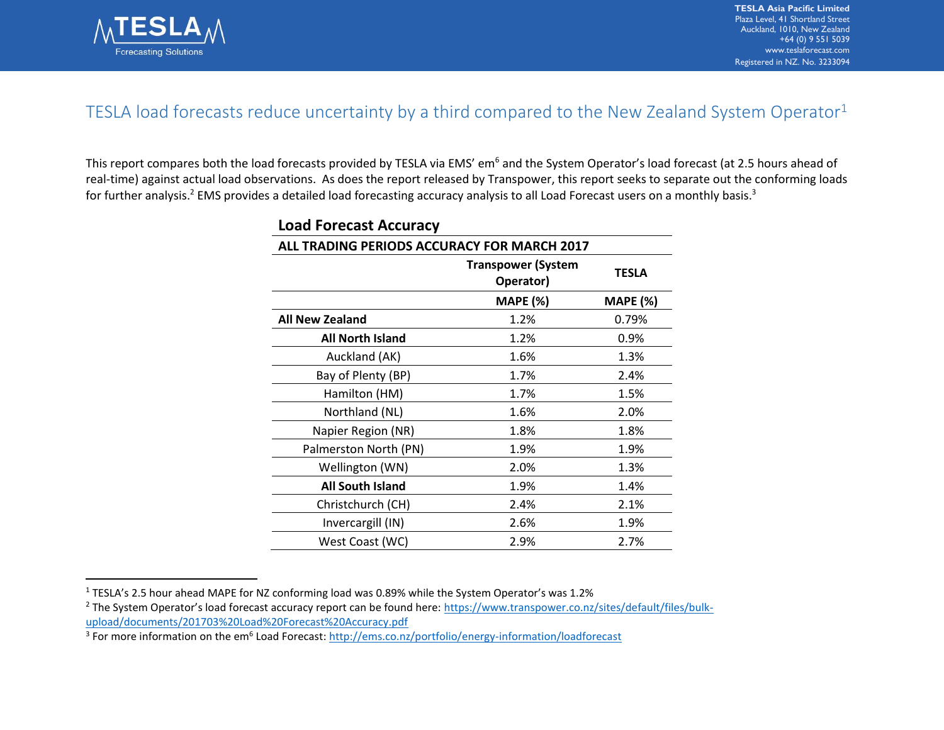

 $\overline{a}$ 

## TESLA load forecasts reduce uncertainty by a third compared to the New Zealand System Operator<sup>1</sup>

This report compares both the load forecasts provided by TESLA via EMS' em<sup>6</sup> and the System Operator's load forecast (at 2.5 hours ahead of real-time) against actual load observations. As does the report released by Transpower, this report seeks to separate out the conforming loads for further analysis.<sup>2</sup> EMS provides a detailed load forecasting accuracy analysis to all Load Forecast users on a monthly basis.<sup>3</sup>

| Load Forecast Accuracy                      |                                        |                 |
|---------------------------------------------|----------------------------------------|-----------------|
| ALL TRADING PERIODS ACCURACY FOR MARCH 2017 |                                        |                 |
|                                             | <b>Transpower (System</b><br>Operator) | TESLA           |
|                                             | <b>MAPE (%)</b>                        | <b>MAPE (%)</b> |
| <b>All New Zealand</b>                      | 1.2%                                   | 0.79%           |
| <b>All North Island</b>                     | 1.2%                                   | 0.9%            |
| Auckland (AK)                               | 1.6%                                   | 1.3%            |
| Bay of Plenty (BP)                          | 1.7%                                   | 2.4%            |
| Hamilton (HM)                               | 1.7%                                   | 1.5%            |
| Northland (NL)                              | 1.6%                                   | 2.0%            |
| Napier Region (NR)                          | 1.8%                                   | 1.8%            |
| Palmerston North (PN)                       | 1.9%                                   | 1.9%            |
| Wellington (WN)                             | 2.0%                                   | 1.3%            |
| <b>All South Island</b>                     | 1.9%                                   | 1.4%            |
| Christchurch (CH)                           | 2.4%                                   | 2.1%            |
| Invercargill (IN)                           | 2.6%                                   | 1.9%            |
| West Coast (WC)                             | 2.9%                                   | 2.7%            |

## **Load Forecast Accuracy**

<sup>1</sup> TESLA's 2.5 hour ahead MAPE for NZ conforming load was 0.89% while the System Operator's was 1.2%

<sup>&</sup>lt;sup>2</sup> The System Operator's load forecast accuracy report can be found here: [https://www.transpower.co.nz/sites/default/files/bulk](https://www.transpower.co.nz/sites/default/files/bulk-upload/documents/201703%20Load%20Forecast%20Accuracy.pdf)[upload/documents/201703%20Load%20Forecast%20Accuracy.pdf](https://www.transpower.co.nz/sites/default/files/bulk-upload/documents/201703%20Load%20Forecast%20Accuracy.pdf)

<sup>&</sup>lt;sup>3</sup> For more information on the em<sup>6</sup> Load Forecast:<http://ems.co.nz/portfolio/energy-information/loadforecast>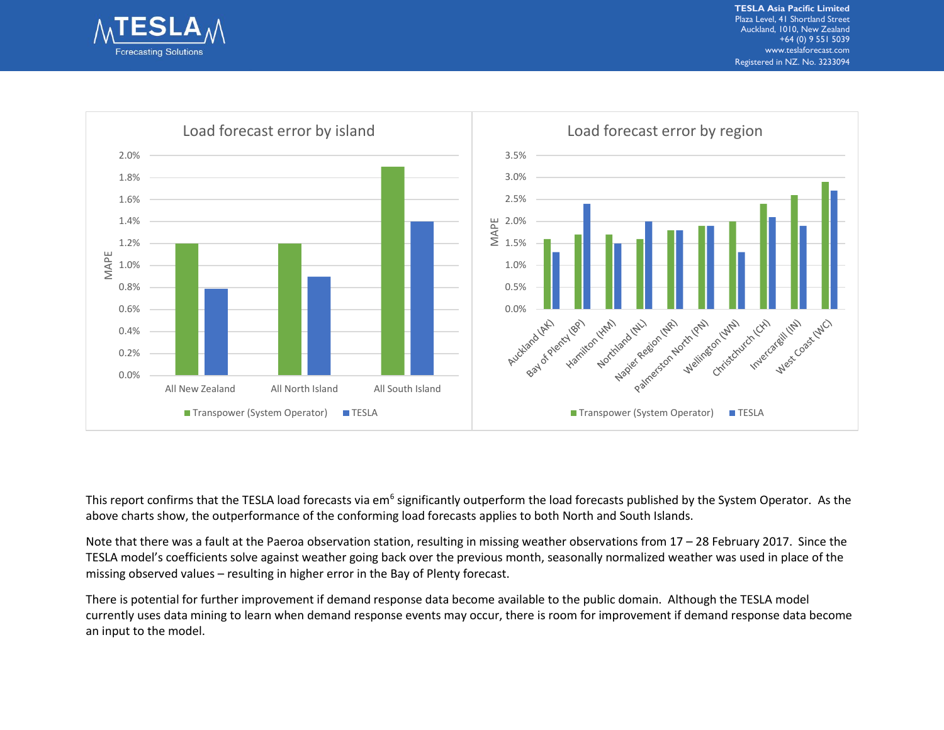



This report confirms that the TESLA load forecasts via em<sup>6</sup> significantly outperform the load forecasts published by the System Operator. As the above charts show, the outperformance of the conforming load forecasts applies to both North and South Islands.

Note that there was a fault at the Paeroa observation station, resulting in missing weather observations from  $17 - 28$  February 2017. Since the TESLA model's coefficients solve against weather going back over the previous month, seasonally normalized weather was used in place of the missing observed values – resulting in higher error in the Bay of Plenty forecast.

There is potential for further improvement if demand response data become available to the public domain. Although the TESLA model currently uses data mining to learn when demand response events may occur, there is room for improvement if demand response data become an input to the model.